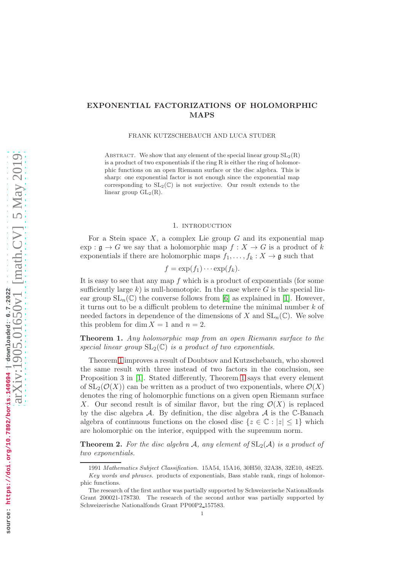# EXPONENTIAL FACTORIZATIONS OF HOLOMORPHIC MAPS

FRANK KUTZSCHEBAUCH AND LUCA STUDER

ABSTRACT. We show that any element of the special linear group  $SL_2(R)$ is a product of two exponentials if the ring  $R$  is either the ring of holomorphic functions on an open Riemann surface or the disc algebra. This is sharp: one exponential factor is not enough since the exponential map corresponding to  $SL_2(\mathbb{C})$  is not surjective. Our result extends to the linear group  $GL_2(R)$ .

### 1. INTRODUCTION

For a Stein space  $X$ , a complex Lie group  $G$  and its exponential map  $\exp: \mathfrak{g} \to G$  we say that a holomorphic map  $f: X \to G$  is a product of k exponentials if there are holomorphic maps  $f_1, \ldots, f_k : X \to \mathfrak{g}$  such that

$$
f = \exp(f_1) \cdots \exp(f_k).
$$

It is easy to see that any map  $f$  which is a product of exponentials (for some sufficiently large k) is null-homotopic. In the case where G is the special linear group  $SL_n(\mathbb{C})$  the converse follows from [6] as explained in [1]. However, it turns out to be a difficult problem to determine the minimal number  $k$  of needed factors in dependence of the dimensions of X and  $SL_n(\mathbb{C})$ . We solve this problem for dim  $X = 1$  and  $n = 2$ .

Theorem 1. Any holomorphic map from an open Riemann surface to the special linear group  $SL_2(\mathbb{C})$  is a product of two exponentials.

Theorem 1 improves a result of Doubtsov and Kutzschebauch, who showed the same result with three instead of two factors in the conclusion, see Proposition 3 in [1]. Stated differently, Theorem 1 says that every element of  $SL_2(\mathcal{O}(X))$  can be written as a product of two exponentials, where  $\mathcal{O}(X)$ denotes the ring of holomorphic functions on a given open Riemann surface X. Our second result is of similar flavor, but the ring  $\mathcal{O}(X)$  is replaced by the disc algebra  $\mathcal A$ . By definition, the disc algebra  $\mathcal A$  is the C-Banach algebra of continuous functions on the closed disc  $\{z \in \mathbb{C} : |z| \leq 1\}$  which are holomorphic on the interior, equipped with the supremum norm.

**Theorem 2.** For the disc algebra A, any element of  $SL_2(\mathcal{A})$  is a product of two exponentials.

<sup>1991</sup> Mathematics Subject Classification. 15A54, 15A16, 30H50, 32A38, 32E10, 48E25. Key words and phrases. products of exponentials, Bass stable rank, rings of holomorphic functions.

The research of the first author was partially supported by Schweizerische Nationalfonds Grant 200021-178730. The research of the second author was partially supported by Schweizerische Nationalfonds Grant PP00P2 157583.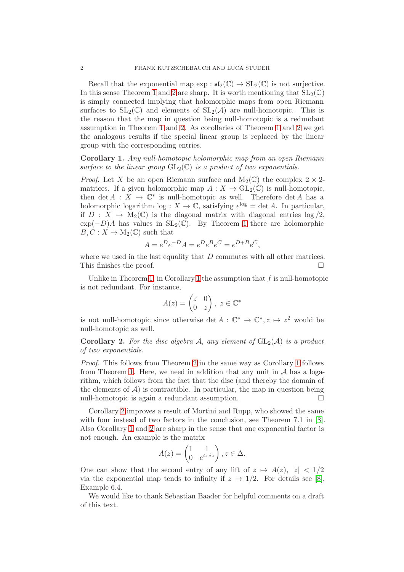Recall that the exponential map  $\exp : \mathfrak{sl}_2(\mathbb{C}) \to SL_2(\mathbb{C})$  is not surjective. In this sense Theorem 1 and 2 are sharp. It is worth mentioning that  $SL_2(\mathbb{C})$ is simply connected implying that holomorphic maps from open Riemann surfaces to  $SL_2(\mathbb{C})$  and elements of  $SL_2(\mathcal{A})$  are null-homotopic. This is the reason that the map in question being null-homotopic is a redundant assumption in Theorem 1 and 2. As corollaries of Theorem 1 and 2 we get the analogous results if the special linear group is replaced by the linear group with the corresponding entries.

Corollary 1. Any null-homotopic holomorphic map from an open Riemann surface to the linear group  $GL_2(\mathbb{C})$  is a product of two exponentials.

*Proof.* Let X be an open Riemann surface and  $M_2(\mathbb{C})$  the complex  $2 \times 2$ matrices. If a given holomorphic map  $A: X \to GL_2(\mathbb{C})$  is null-homotopic, then  $\det A : X \to \mathbb{C}^*$  is null-homotopic as well. Therefore  $\det A$  has a holomorphic logarithm log :  $X \to \mathbb{C}$ , satisfying  $e^{\log} = \det A$ . In particular, if  $D: X \to M_2(\mathbb{C})$  is the diagonal matrix with diagonal entries  $\log/2$ ,  $\exp(-D)A$  has values in  $SL_2(\mathbb{C})$ . By Theorem 1 there are holomorphic  $B, C: X \to M_2(\mathbb{C})$  such that

$$
A = e^{D}e^{-D}A = e^{D}e^{B}e^{C} = e^{D+B}e^{C},
$$

where we used in the last equality that  $D$  commutes with all other matrices. This finishes the proof.

Unlike in Theorem 1, in Corollary 1 the assumption that  $f$  is null-homotopic is not redundant. For instance,

$$
A(z) = \begin{pmatrix} z & 0 \\ 0 & z \end{pmatrix}, \ z \in \mathbb{C}^*
$$

is not null-homotopic since otherwise det  $A: \mathbb{C}^* \to \mathbb{C}^*, z \mapsto z^2$  would be null-homotopic as well.

**Corollary 2.** For the disc algebra A, any element of  $GL_2(\mathcal{A})$  is a product of two exponentials.

Proof. This follows from Theorem 2 in the same way as Corollary 1 follows from Theorem 1. Here, we need in addition that any unit in  $A$  has a logarithm, which follows from the fact that the disc (and thereby the domain of the elements of  $\mathcal{A}$ ) is contractible. In particular, the map in question being<br>null-homotonic is again a redundant assumption null-homotopic is again a redundant assumption.

Corollary 2 improves a result of Mortini and Rupp, who showed the same with four instead of two factors in the conclusion, see Theorem 7.1 in [8]. Also Corollary 1 and 2 are sharp in the sense that one exponential factor is not enough. An example is the matrix

$$
A(z) = \begin{pmatrix} 1 & 1 \\ 0 & e^{4\pi i z} \end{pmatrix}, z \in \Delta.
$$

One can show that the second entry of any lift of  $z \mapsto A(z)$ ,  $|z| < 1/2$ via the exponential map tends to infinity if  $z \to 1/2$ . For details see [8], Example 6.4.

We would like to thank Sebastian Baader for helpful comments on a draft of this text.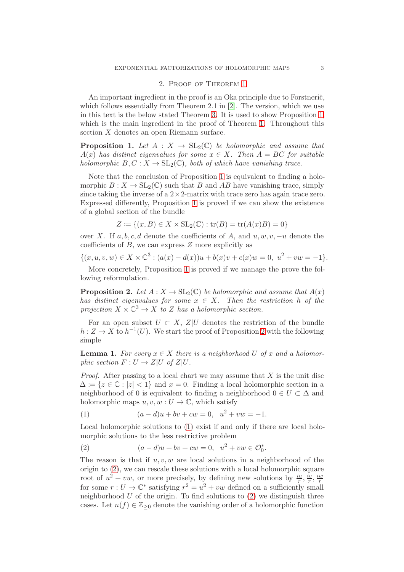#### 2. Proof of Theorem 1

An important ingredient in the proof is an Oka principle due to Forstneric, which follows essentially from Theorem 2.1 in [2]. The version, which we use in this text is the below stated Theorem [3.](#page-4-0) It is used to show Proposition 1, which is the main ingredient in the proof of Theorem 1. Throughout this section  $X$  denotes an open Riemann surface.

**Proposition 1.** Let  $A: X \to SL_2(\mathbb{C})$  be holomorphic and assume that  $A(x)$  has distinct eigenvalues for some  $x \in X$ . Then  $A = BC$  for suitable holomorphic  $B, C: X \to SL_2(\mathbb{C})$ , both of which have vanishing trace.

Note that the conclusion of Proposition 1 is equivalent to finding a holomorphic  $B: X \to SL_2(\mathbb{C})$  such that B and AB have vanishing trace, simply since taking the inverse of a  $2 \times 2$ -matrix with trace zero has again trace zero. Expressed differently, Proposition 1 is proved if we can show the existence of a global section of the bundle

$$
Z:=\{(x,B)\in X\times \mathrm{SL}_2(\mathbb{C}): \mathrm{tr}(B)=\mathrm{tr}(A(x)B)=0\}
$$

over X. If  $a, b, c, d$  denote the coefficients of A, and  $u, w, v, -u$  denote the coefficients of  $B$ , we can express  $Z$  more explicitly as

 $\{(x, u, v, w) \in X \times \mathbb{C}^3 : (a(x) - d(x))u + b(x)v + c(x)w = 0, u^2 + vw = -1\}.$ 

More concretely, Proposition 1 is proved if we manage the prove the following reformulation.

**Proposition 2.** Let  $A: X \to SL_2(\mathbb{C})$  be holomorphic and assume that  $A(x)$ has distinct eigenvalues for some  $x \in X$ . Then the restriction h of the projection  $X \times \mathbb{C}^3 \to X$  to Z has a holomorphic section.

For an open subset  $U \subset X$ ,  $Z|U$  denotes the restriction of the bundle  $h: Z \to X$  to  $h^{-1}(U)$ . We start the proof of Proposition 2 with the following simple

**Lemma 1.** For every  $x \in X$  there is a neighborhood U of x and a holomorphic section  $F: U \to Z|U$  of  $Z|U$ .

*Proof.* After passing to a local chart we may assume that  $X$  is the unit disc  $\Delta := \{z \in \mathbb{C} : |z| < 1\}$  and  $x = 0$ . Finding a local holomorphic section in a neighborhood of 0 is equivalent to finding a neighborhood  $0 \in U \subset \Delta$  and holomorphic maps  $u, v, w : U \to \mathbb{C}$ , which satisfy

(1)  $(a-d)u + bv + cw = 0, \quad u^2 + vw = -1.$ 

Local holomorphic solutions to (1) exist if and only if there are local holomorphic solutions to the less restrictive problem

(2) 
$$
(a-d)u + bv + cw = 0, \ \ u^2 + vw \in \mathcal{O}_0^*.
$$

The reason is that if  $u, v, w$  are local solutions in a neighborhood of the origin to (2), we can rescale these solutions with a local holomorphic square root of  $u^2 + vw$ , or more precisely, by defining new solutions by  $\frac{iu}{r}, \frac{iv}{r}$  $\frac{\dot{x}}{r}, \frac{i w}{r}$  $\frac{1}{r}$ for some  $r: U \to \mathbb{C}^*$  satisfying  $r^2 = u^2 + vw$  defined on a sufficiently small neighborhood  $U$  of the origin. To find solutions to  $(2)$  we distinguish three cases. Let  $n(f) \in \mathbb{Z}_{\geq 0}$  denote the vanishing order of a holomorphic function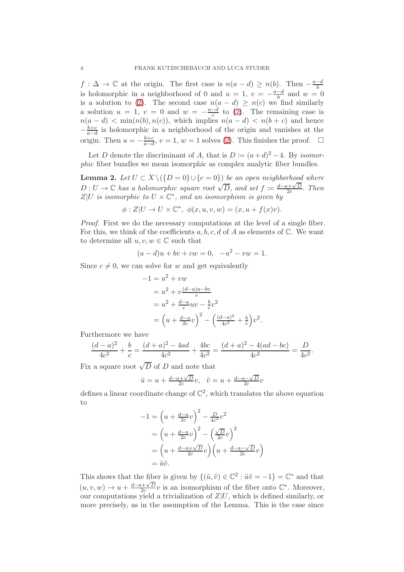$f: \Delta \to \mathbb{C}$  at the origin. The first case is  $n(a-d) \geq n(b)$ . Then  $-\frac{a-d}{b}$ is holomorphic in a neighborhood of 0 and  $u = 1$ ,  $v = -\frac{a-d}{b}$  and  $w = 0$ is a solution to (2). The second case  $n(a-d) \geq n(c)$  we find similarly a solution  $u = 1$ ,  $v = 0$  and  $w = -\frac{a-\tilde{d}}{c}$  to (2). The remaining case is  $n(a - d) < \min(n(b), n(c))$ , which implies  $n(a - d) < n(b + c)$  and hence  $-\frac{b+c}{a-d}$  $\frac{b+c}{a-d}$  is holomorphic in a neighborhood of the origin and vanishes at the origin. Then  $u = -\frac{b+c}{a-d}$  $\frac{b+c}{a-d}$ ,  $v = 1$ ,  $w = 1$  solves (2). This finishes the proof.  $□$ 

Let D denote the discriminant of A, that is  $D := (a+d)^2 - 4$ . By isomorphic fiber bundles we mean isomorphic as complex analytic fiber bundles.

**Lemma 2.** Let  $U \subset X \setminus (\{D = 0\} \cup \{c = 0\})$  be an open neighborhood where  $D: U \to \mathbb{C}$  has a holomorphic square root  $\sqrt{D}$ , and set  $f := \frac{d-a+\sqrt{D}}{2c}$  $\frac{a+\sqrt{D}}{2c}$ . Then  $Z|U$  is isomorphic to  $U \times \mathbb{C}^*$ , and an isomorphism is given by

$$
\phi:Z|U\to U\times \mathbb{C}^*,\ \phi(x,u,v,w)=(x,u+f(x)v).
$$

Proof. First we do the necessary computations at the level of a single fiber. For this, we think of the coefficients  $a, b, c, d$  of A as elements of C. We want to determine all  $u, v, w \in \mathbb{C}$  such that

$$
(a-d)u + bv + cw = 0, -u2 - vw = 1.
$$

Since  $c \neq 0$ , we can solve for w and get equivalently

$$
-1 = u2 + vw
$$
  
=  $u2 + v \frac{(d-a)u - bv}{c}$   
=  $u2 + \frac{d-a}{c}uv - \frac{b}{c}v2$   
=  $\left(u + \frac{d-a}{2c}v\right)2 - \left(\frac{(d-a)2}{4c2} + \frac{b}{c}\right)v2$ .

Furthermore we have

$$
\frac{(d-a)^2}{4c^2} + \frac{b}{c} = \frac{(d+a)^2 - 4ad}{4c^2} + \frac{4bc}{4c^2} = \frac{(d+a)^2 - 4(ad - bc)}{4c^2} = \frac{D}{4c^2}.
$$

Fix a square root  $\sqrt{D}$  of D and note that

$$
\tilde{u} = u + \frac{d - a + \sqrt{D}}{2c}v, \quad \tilde{v} = u + \frac{d - a - \sqrt{D}}{2c}v
$$

defines a linear coordinate change of  $\mathbb{C}^2$ , which translates the above equation to

$$
-1 = \left(u + \frac{d-a}{2c}v\right)^2 - \frac{D}{4c^2}v^2
$$
  
=  $\left(u + \frac{d-a}{2c}v\right)^2 - \left(\frac{\sqrt{D}}{2c}v\right)^2$   
=  $\left(u + \frac{d-a+\sqrt{D}}{2c}v\right)\left(u + \frac{d-a-\sqrt{D}}{2c}v\right)$   
=  $\tilde{u}\tilde{v}$ .

This shows that the fiber is given by  $\{(\tilde{u}, \tilde{v}) \in \mathbb{C}^2 : \tilde{u}\tilde{v} = -1\} = \mathbb{C}^*$  and that  $(u, v, w) \rightarrow u + \frac{d - a + \sqrt{D}}{2c}$  $\frac{p+1}{2c}v$  is an isomorphism of the fiber onto  $\mathbb{C}^*$ . Moreover, our computations yield a trivialization of  $Z|U$ , which is defined similarly, or more precisely, as in the assumption of the Lemma. This is the case since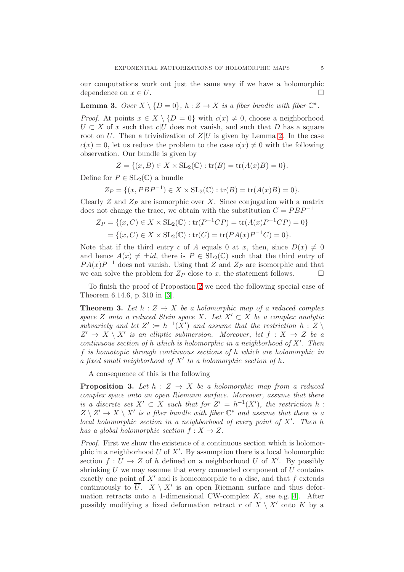our computations work out just the same way if we have a holomorphic dependence on  $x \in U$ .

**Lemma 3.** Over  $X \setminus \{D = 0\}$ ,  $h : Z \to X$  is a fiber bundle with fiber  $\mathbb{C}^*$ .

*Proof.* At points  $x \in X \setminus \{D = 0\}$  with  $c(x) \neq 0$ , choose a neighborhood  $U \subset X$  of x such that c|U does not vanish, and such that D has a square root on U. Then a trivialization of  $Z|U$  is given by Lemma 2. In the case  $c(x) = 0$ , let us reduce the problem to the case  $c(x) \neq 0$  with the following observation. Our bundle is given by

$$
Z = \{(x, B) \in X \times SL_2(\mathbb{C}) : \text{tr}(B) = \text{tr}(A(x)B) = 0\}.
$$

Define for  $P \in SL_2(\mathbb{C})$  a bundle

$$
Z_P = \{(x, PBP^{-1}) \in X \times SL_2(\mathbb{C}) : \text{tr}(B) = \text{tr}(A(x)B) = 0\}.
$$

Clearly  $Z$  and  $Z_P$  are isomorphic over  $X$ . Since conjugation with a matrix does not change the trace, we obtain with the substitution  $C = PBP^{-1}$ 

$$
Z_P = \{(x, C) \in X \times SL_2(\mathbb{C}) : \text{tr}(P^{-1}CP) = \text{tr}(A(x)P^{-1}CP) = 0\}
$$
  
=  $\{(x, C) \in X \times SL_2(\mathbb{C}) : \text{tr}(C) = \text{tr}(PA(x)P^{-1}C) = 0\}.$ 

Note that if the third entry c of A equals 0 at x, then, since  $D(x) \neq 0$ and hence  $A(x) \neq \pm id$ , there is  $P \in SL_2(\mathbb{C})$  such that the third entry of  $PA(x)P^{-1}$  does not vanish. Using that Z and  $Z_P$  are isomorphic and that we can solve the problem for  $Z_P$  close to x, the statement follows.  $\Box$ 

To finish the proof of Propostion 2 we need the following special case of Theorem 6.14.6, p. 310 in [3].

<span id="page-4-0"></span>**Theorem 3.** Let  $h: Z \to X$  be a holomorphic map of a reduced complex space Z onto a reduced Stein space X. Let  $X' \subset X$  be a complex analytic subvariety and let  $Z' := h^{-1}(X')$  and assume that the restriction  $h : Z \setminus Z'$  $Z' \to X \setminus X'$  is an elliptic submersion. Moreover, let  $f : X \to Z$  be a continuous section of h which is holomorphic in a neighborhood of  $X'$ . Then f is homotopic through continuous sections of h which are holomorphic in a fixed small neighborhood of  $X'$  to a holomorphic section of h.

A consequence of this is the following

**Proposition 3.** Let  $h : Z \rightarrow X$  be a holomorphic map from a reduced complex space onto an open Riemann surface. Moreover, assume that there is a discrete set  $X' \subset X$  such that for  $Z' = h^{-1}(X')$ , the restriction h:  $Z \setminus Z' \to X \setminus X'$  is a fiber bundle with fiber  $\mathbb{C}^*$  and assume that there is a local holomorphic section in a neighborhood of every point of X′ . Then h has a global holomorphic section  $f: X \to Z$ .

Proof. First we show the existence of a continuous section which is holomorphic in a neighborhood U of X'. By assumption there is a local holomorphic section  $f: U \to Z$  of h defined on a neighborhood U of X'. By possibly shrinking  $U$  we may assume that every connected component of  $U$  contains exactly one point of  $X'$  and is homeomorphic to a disc, and that f extends continuously to U.  $X \setminus X'$  is an open Riemann surface and thus deformation retracts onto a 1-dimensional CW-complex  $K$ , see e.g. [4]. After possibly modifying a fixed deformation retract r of  $X \setminus X'$  onto K by a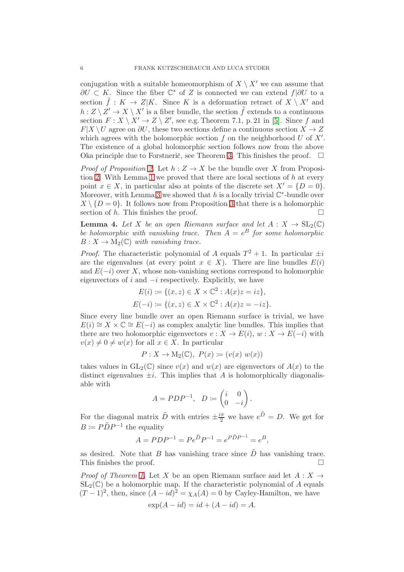conjugation with a suitable homeomorphism of  $X \setminus X'$  we can assume that  $\partial U \subset K$ . Since the fiber  $\mathbb{C}^*$  of Z is connected we can extend  $f|\partial U$  to a section  $\tilde{f}: K \to Z | K$ . Since K is a deformation retract of  $X \setminus X'$  and  $h: Z \setminus Z' \to X \setminus X'$  is a fiber bundle, the section  $\tilde{f}$  extends to a continuous section  $F: X \setminus X' \to Z \setminus Z'$ , see e.g. Theorem 7.1, p. 21 in [5]. Since f and  $F|X \setminus U$  agree on  $\partial U$ , these two sections define a continuous section  $X \to Z$ which agrees with the holomorphic section  $f$  on the neighborhood  $U$  of  $X'$ . The existence of a global holomorphic section follows now from the above Oka principle due to Forstnerič, see Theorem [3.](#page-4-0) This finishes the proof.  $\Box$ 

*Proof of Proposition 2.* Let  $h: Z \to X$  be the bundle over X from Proposition 2. With Lemma 1 we proved that there are local sections of  $h$  at every point  $x \in X$ , in particular also at points of the discrete set  $X' = \{D = 0\}.$ Moreover, with Lemma 3 we showed that h is a locally trivial  $\mathbb{C}^*$ -bundle over  $X \setminus \{D = 0\}$ . It follows now from Proposition 3 that there is a holomorphic section of h. This finishes the proof. section of h. This finishes the proof.

**Lemma 4.** Let X be an open Riemann surface and let  $A: X \to SL_2(\mathbb{C})$ be holomorphic with vanishing trace. Then  $A = e^B$  for some holomorphic  $B: X \to M_2(\mathbb{C})$  with vanishing trace.

*Proof.* The characteristic polynomial of A equals  $T^2 + 1$ . In particular  $\pm i$ are the eigenvalues (at every point  $x \in X$ ). There are line bundles  $E(i)$ and  $E(-i)$  over X, whose non-vanishing sections correspond to holomorphic eigenvectors of i and  $-i$  respectively. Explicitly, we have

$$
E(i) := \{(x, z) \in X \times \mathbb{C}^2 : A(x)z = iz\},
$$
  

$$
E(-i) := \{(x, z) \in X \times \mathbb{C}^2 : A(x)z = -iz\}.
$$

Since every line bundle over an open Riemann surface is trivial, we have  $E(i) \cong X \times \mathbb{C} \cong E(-i)$  as complex analytic line bundles. This implies that there are two holomorphic eigenvectors  $v : X \to E(i)$ ,  $w : X \to E(-i)$  with  $v(x) \neq 0 \neq w(x)$  for all  $x \in X$ . In particular

$$
P:X\to \mathrm{M}_2(\mathbb{C}),\ P(x)\coloneqq (v(x)\ w(x))
$$

takes values in  $GL_2(\mathbb{C})$  since  $v(x)$  and  $w(x)$  are eigenvectors of  $A(x)$  to the distinct eigenvalues  $\pm i$ . This implies that A is holomorphically diagonalisable with

$$
A = PDP^{-1}, \quad D := \begin{pmatrix} i & 0 \\ 0 & -i \end{pmatrix}.
$$

For the diagonal matrix  $\tilde{D}$  with entries  $\pm \frac{i\pi}{2}$  we have  $e^{\tilde{D}} = D$ . We get for  $B \coloneqq P\tilde{D}P^{-1}$  the equality

$$
A = PDP^{-1} = Pe^{\tilde{D}}P^{-1} = e^{P\tilde{D}P^{-1}} = e^B,
$$

as desired. Note that B has vanishing trace since  $\tilde{D}$  has vanishing trace. This finishes the proof.  $\Box$ 

*Proof of Theorem 1.* Let X be an open Riemann surface and let  $A: X \rightarrow$  $SL_2(\mathbb{C})$  be a holomorphic map. If the characteristic polynomial of A equals  $(T-1)^2$ , then, since  $(A - id)^2 = \chi_A(A) = 0$  by Cayley-Hamilton, we have

$$
\exp(A - id) = id + (A - id) = A.
$$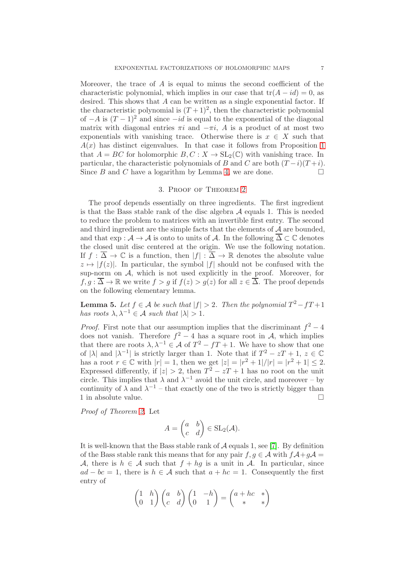Moreover, the trace of  $A$  is equal to minus the second coefficient of the characteristic polynomial, which implies in our case that  $tr(A - id) = 0$ , as desired. This shows that A can be written as a single exponential factor. If the characteristic polynomial is  $(T+1)^2$ , then the characteristic polynomial of  $-A$  is  $(T-1)^2$  and since  $-id$  is equal to the exponential of the diagonal matrix with diagonal entries  $\pi i$  and  $-\pi i$ , A is a product of at most two exponentials with vanishing trace. Otherwise there is  $x \in X$  such that  $A(x)$  has distinct eigenvalues. In that case it follows from Proposition 1 that  $A = BC$  for holomorphic  $B, C: X \to SL_2(\mathbb{C})$  with vanishing trace. In particular, the characteristic polynomials of B and C are both  $(T-i)(T+i)$ .<br>Since B and C have a logarithm by Lemma 4, we are done. Since B and C have a logarithm by Lemma 4, we are done.

## 3. Proof of Theorem 2

The proof depends essentially on three ingredients. The first ingredient is that the Bass stable rank of the disc algebra  $A$  equals 1. This is needed to reduce the problem to matrices with an invertible first entry. The second and third ingredient are the simple facts that the elements of  $A$  are bounded, and that  $\exp : \mathcal{A} \to \mathcal{A}$  is onto to units of  $\mathcal{A}$ . In the following  $\overline{\Delta} \subset \mathbb{C}$  denotes the closed unit disc centered at the origin. We use the following notation. If  $f : \overline{\Delta} \to \mathbb{C}$  is a function, then  $|f| : \overline{\Delta} \to \mathbb{R}$  denotes the absolute value  $z \mapsto |f(z)|$ . In particular, the symbol  $|f|$  should not be confused with the sup-norm on  $A$ , which is not used explicitly in the proof. Moreover, for  $f, q : \overline{\Delta} \to \mathbb{R}$  we write  $f > q$  if  $f(z) > q(z)$  for all  $z \in \overline{\Delta}$ . The proof depends on the following elementary lemma.

**Lemma 5.** Let  $f \in \mathcal{A}$  be such that  $|f| > 2$ . Then the polynomial  $T^2 - fT + 1$ has roots  $\lambda, \lambda^{-1} \in \mathcal{A}$  such that  $|\lambda| > 1$ .

*Proof.* First note that our assumption implies that the discriminant  $f^2 - 4$ does not vanish. Therefore  $f^2 - 4$  has a square root in A, which implies that there are roots  $\lambda, \lambda^{-1} \in \mathcal{A}$  of  $T^2 - fT + 1$ . We have to show that one of  $|\lambda|$  and  $|\lambda^{-1}|$  is strictly larger than 1. Note that if  $T^2 - zT + 1$ ,  $z \in \mathbb{C}$ has a root  $r \in \mathbb{C}$  with  $|r| = 1$ , then we get  $|z| = |r^2 + 1|/|r| = |r^2 + 1| \leq 2$ . Expressed differently, if  $|z| > 2$ , then  $T^2 - zT + 1$  has no root on the unit circle. This implies that  $\lambda$  and  $\lambda^{-1}$  avoid the unit circle, and moreover – by continuity of  $\lambda$  and  $\lambda^{-1}$  – that exactly one of the two is strictly bigger than 1 in absolute value.  $\hfill \square$ 

Proof of Theorem 2. Let

$$
A = \begin{pmatrix} a & b \\ c & d \end{pmatrix} \in SL_2(\mathcal{A}).
$$

It is well-known that the Bass stable rank of  $A$  equals 1, see [7]. By definition of the Bass stable rank this means that for any pair  $f, g \in A$  with  $fA+gA =$ A, there is  $h \in \mathcal{A}$  such that  $f + hg$  is a unit in A. In particular, since  $ad - bc = 1$ , there is  $h \in \mathcal{A}$  such that  $a + hc = 1$ . Consequently the first entry of

$$
\begin{pmatrix} 1 & h \ 0 & 1 \end{pmatrix} \begin{pmatrix} a & b \ c & d \end{pmatrix} \begin{pmatrix} 1 & -h \ 0 & 1 \end{pmatrix} = \begin{pmatrix} a+hc & * \ * & * \end{pmatrix}
$$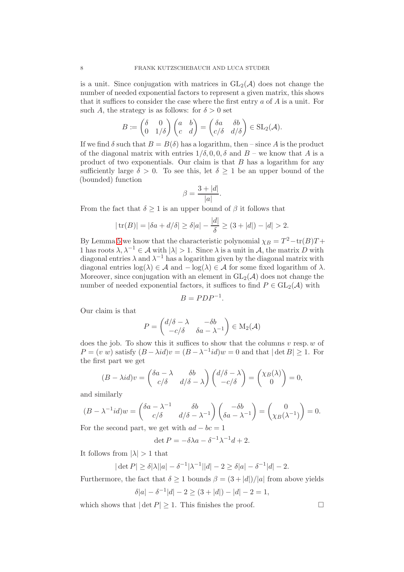is a unit. Since conjugation with matrices in  $GL_2(\mathcal{A})$  does not change the number of needed exponential factors to represent a given matrix, this shows that it suffices to consider the case where the first entry  $a$  of  $A$  is a unit. For such A, the strategy is as follows: for  $\delta > 0$  set

$$
B \coloneqq \begin{pmatrix} \delta & 0 \\ 0 & 1/\delta \end{pmatrix} \begin{pmatrix} a & b \\ c & d \end{pmatrix} = \begin{pmatrix} \delta a & \delta b \\ c/\delta & d/\delta \end{pmatrix} \in SL_2(\mathcal{A}).
$$

If we find  $\delta$  such that  $B = B(\delta)$  has a logarithm, then – since A is the product of the diagonal matrix with entries  $1/\delta$ , 0, 0,  $\delta$  and  $B$  – we know that A is a product of two exponentials. Our claim is that  $B$  has a logarithm for any sufficiently large  $\delta > 0$ . To see this, let  $\delta \geq 1$  be an upper bound of the (bounded) function

$$
\beta = \frac{3 + |d|}{|a|}.
$$

From the fact that  $\delta \geq 1$  is an upper bound of  $\beta$  it follows that

$$
|\operatorname{tr}(B)| = |\delta a + d/\delta| \ge \delta |a| - \frac{|d|}{\delta} \ge (3 + |d|) - |d| > 2.
$$

By Lemma 5 we know that the characteristic polynomial  $\chi_B = T^2 - \text{tr}(B)T +$ 1 has roots  $\lambda, \lambda^{-1} \in \mathcal{A}$  with  $|\lambda| > 1$ . Since  $\lambda$  is a unit in  $\mathcal{A}$ , the matrix D with diagonal entries  $\lambda$  and  $\lambda^{-1}$  has a logarithm given by the diagonal matrix with diagonal entries  $log(\lambda) \in \mathcal{A}$  and  $log(\lambda) \in \mathcal{A}$  for some fixed logarithm of  $\lambda$ . Moreover, since conjugation with an element in  $GL_2(\mathcal{A})$  does not change the number of needed exponential factors, it suffices to find  $P \in GL_2(\mathcal{A})$  with

$$
B = PDP^{-1}
$$

.

Our claim is that

$$
P = \begin{pmatrix} d/\delta - \lambda & -\delta b \\ -c/\delta & \delta a - \lambda^{-1} \end{pmatrix} \in M_2(\mathcal{A})
$$

does the job. To show this it suffices to show that the columns  $v$  resp.  $w$  of  $P = (v \ w)$  satisfy  $(B - \lambda id)v = (B - \lambda^{-1} id)w = 0$  and that  $|\det B| \ge 1$ . For the first part we get

$$
(B - \lambda id)v = \begin{pmatrix} \delta a - \lambda & \delta b \\ c/\delta & d/\delta - \lambda \end{pmatrix} \begin{pmatrix} d/\delta - \lambda \\ -c/\delta \end{pmatrix} = \begin{pmatrix} \chi_B(\lambda) \\ 0 \end{pmatrix} = 0,
$$

and similarly

$$
(B - \lambda^{-1} id)w = \begin{pmatrix} \delta a - \lambda^{-1} & \delta b \\ c/\delta & d/\delta - \lambda^{-1} \end{pmatrix} \begin{pmatrix} -\delta b \\ \delta a - \lambda^{-1} \end{pmatrix} = \begin{pmatrix} 0 \\ \chi_B(\lambda^{-1}) \end{pmatrix} = 0.
$$

For the second part, we get with  $ad - bc = 1$ 

$$
\det P = -\delta\lambda a - \delta^{-1}\lambda^{-1}d + 2.
$$

It follows from  $|\lambda| > 1$  that

$$
|\det P| \ge \delta |\lambda| |a| - \delta^{-1} |\lambda^{-1}| |d| - 2 \ge \delta |a| - \delta^{-1} |d| - 2.
$$

Furthermore, the fact that  $\delta \geq 1$  bounds  $\beta = (3 + |d|)/|a|$  from above yields

$$
\delta|a| - \delta^{-1}|d| - 2 \ge (3 + |d|) - |d| - 2 = 1,
$$

which shows that  $|\det P| \geq 1$ . This finishes the proof.